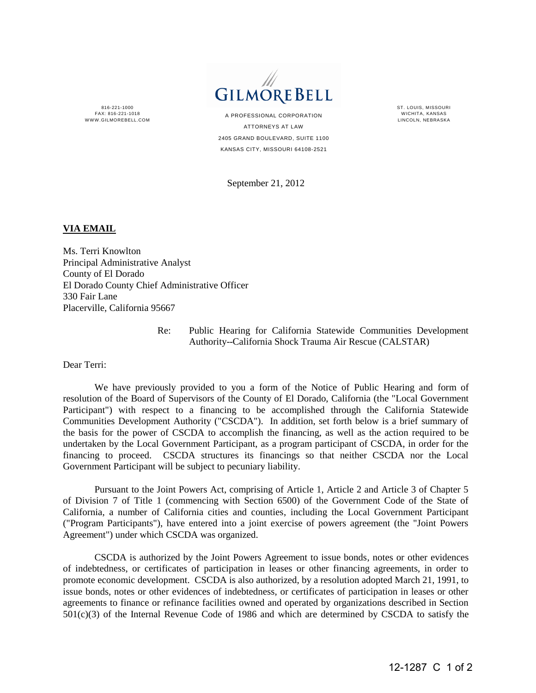816-221-1000 FAX: 816-221-1018 WWW GILMOREBELL COM



A PROFESSIONAL CORPORATION ATTORNEYS AT LAW 2405 GRAND BOULEVARD, SUITE 1100 KANSAS CITY, MISSOURI 64108-2521

September 21, 2012

ST. LOUIS, MISSOURI WICHITA, KANSAS LINCOLN, NEBRASKA

## **VIA EMAIL**

Ms. Terri Knowlton Principal Administrative Analyst County of El Dorado El Dorado County Chief Administrative Officer 330 Fair Lane Placerville, California 95667

 Re: Public Hearing for California Statewide Communities Development Authority--California Shock Trauma Air Rescue (CALSTAR)

Dear Terri:

 We have previously provided to you a form of the Notice of Public Hearing and form of resolution of the Board of Supervisors of the County of El Dorado, California (the "Local Government Participant") with respect to a financing to be accomplished through the California Statewide Communities Development Authority ("CSCDA"). In addition, set forth below is a brief summary of the basis for the power of CSCDA to accomplish the financing, as well as the action required to be undertaken by the Local Government Participant, as a program participant of CSCDA, in order for the financing to proceed. CSCDA structures its financings so that neither CSCDA nor the Local Government Participant will be subject to pecuniary liability.

 Pursuant to the Joint Powers Act, comprising of Article 1, Article 2 and Article 3 of Chapter 5 of Division 7 of Title 1 (commencing with Section 6500) of the Government Code of the State of California, a number of California cities and counties, including the Local Government Participant ("Program Participants"), have entered into a joint exercise of powers agreement (the "Joint Powers Agreement") under which CSCDA was organized.

 CSCDA is authorized by the Joint Powers Agreement to issue bonds, notes or other evidences of indebtedness, or certificates of participation in leases or other financing agreements, in order to promote economic development. CSCDA is also authorized, by a resolution adopted March 21, 1991, to issue bonds, notes or other evidences of indebtedness, or certificates of participation in leases or other agreements to finance or refinance facilities owned and operated by organizations described in Section 501(c)(3) of the Internal Revenue Code of 1986 and which are determined by CSCDA to satisfy the